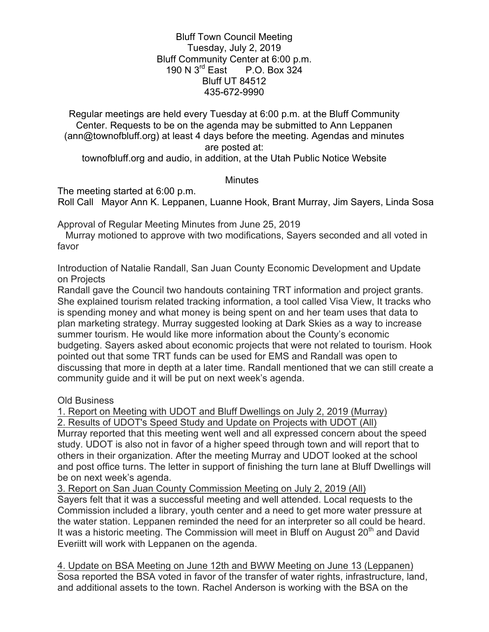Bluff Town Council Meeting Tuesday, July 2, 2019 Bluff Community Center at 6:00 p.m. 190 N 3rd East P.O. Box 324 Bluff UT 84512 435-672-9990

Regular meetings are held every Tuesday at 6:00 p.m. at the Bluff Community Center. Requests to be on the agenda may be submitted to Ann Leppanen (ann@townofbluff.org) at least 4 days before the meeting. Agendas and minutes are posted at:

townofbluff.org and audio, in addition, at the Utah Public Notice Website

## **Minutes**

The meeting started at 6:00 p.m.

Roll Call Mayor Ann K. Leppanen, Luanne Hook, Brant Murray, Jim Sayers, Linda Sosa

Approval of Regular Meeting Minutes from June 25, 2019

 Murray motioned to approve with two modifications, Sayers seconded and all voted in favor

Introduction of Natalie Randall, San Juan County Economic Development and Update on Projects

Randall gave the Council two handouts containing TRT information and project grants. She explained tourism related tracking information, a tool called Visa View, It tracks who is spending money and what money is being spent on and her team uses that data to plan marketing strategy. Murray suggested looking at Dark Skies as a way to increase summer tourism. He would like more information about the County's economic budgeting. Sayers asked about economic projects that were not related to tourism. Hook pointed out that some TRT funds can be used for EMS and Randall was open to discussing that more in depth at a later time. Randall mentioned that we can still create a community guide and it will be put on next week's agenda.

Old Business

1. Report on Meeting with UDOT and Bluff Dwellings on July 2, 2019 (Murray)

2. Results of UDOT's Speed Study and Update on Projects with UDOT (All)

Murray reported that this meeting went well and all expressed concern about the speed study. UDOT is also not in favor of a higher speed through town and will report that to others in their organization. After the meeting Murray and UDOT looked at the school and post office turns. The letter in support of finishing the turn lane at Bluff Dwellings will be on next week's agenda.

3. Report on San Juan County Commission Meeting on July 2, 2019 (All) Sayers felt that it was a successful meeting and well attended. Local requests to the Commission included a library, youth center and a need to get more water pressure at the water station. Leppanen reminded the need for an interpreter so all could be heard. It was a historic meeting. The Commission will meet in Bluff on August 20<sup>th</sup> and David Everiitt will work with Leppanen on the agenda.

4. Update on BSA Meeting on June 12th and BWW Meeting on June 13 (Leppanen) Sosa reported the BSA voted in favor of the transfer of water rights, infrastructure, land, and additional assets to the town. Rachel Anderson is working with the BSA on the